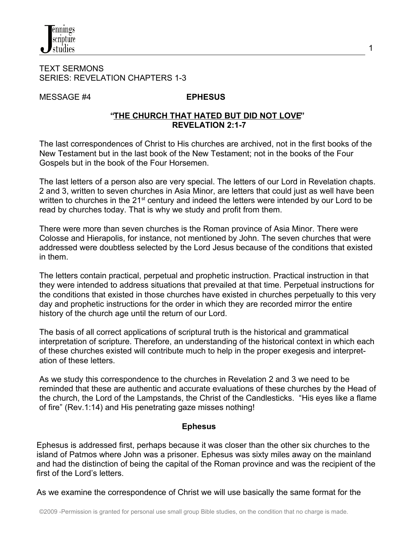

#### TEXT SERMONS SERIES: REVELATION CHAPTERS 1-3

MESSAGE #4 **EPHESUS**

#### **"THE CHURCH THAT HATED BUT DID NOT LOVE" REVELATION 2:1-7**

The last correspondences of Christ to His churches are archived, not in the first books of the New Testament but in the last book of the New Testament; not in the books of the Four Gospels but in the book of the Four Horsemen.

The last letters of a person also are very special. The letters of our Lord in Revelation chapts. 2 and 3, written to seven churches in Asia Minor, are letters that could just as well have been written to churches in the 21<sup>st</sup> century and indeed the letters were intended by our Lord to be read by churches today. That is why we study and profit from them.

There were more than seven churches is the Roman province of Asia Minor. There were Colosse and Hierapolis, for instance, not mentioned by John. The seven churches that were addressed were doubtless selected by the Lord Jesus because of the conditions that existed in them.

The letters contain practical, perpetual and prophetic instruction. Practical instruction in that they were intended to address situations that prevailed at that time. Perpetual instructions for the conditions that existed in those churches have existed in churches perpetually to this very day and prophetic instructions for the order in which they are recorded mirror the entire history of the church age until the return of our Lord.

The basis of all correct applications of scriptural truth is the historical and grammatical interpretation of scripture. Therefore, an understanding of the historical context in which each of these churches existed will contribute much to help in the proper exegesis and interpretation of these letters.

As we study this correspondence to the churches in Revelation 2 and 3 we need to be reminded that these are authentic and accurate evaluations of these churches by the Head of the church, the Lord of the Lampstands, the Christ of the Candlesticks. "His eyes like a flame of fire" (Rev.1:14) and His penetrating gaze misses nothing!

## **Ephesus**

Ephesus is addressed first, perhaps because it was closer than the other six churches to the island of Patmos where John was a prisoner. Ephesus was sixty miles away on the mainland and had the distinction of being the capital of the Roman province and was the recipient of the first of the Lord's letters.

As we examine the correspondence of Christ we will use basically the same format for the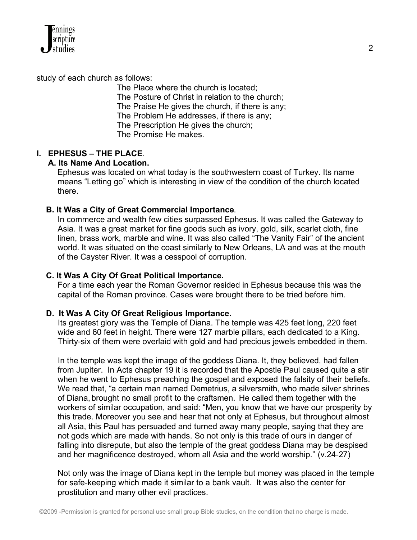

study of each church as follows:

 The Place where the church is located; The Posture of Christ in relation to the church; The Praise He gives the church, if there is any; The Problem He addresses, if there is any; The Prescription He gives the church; The Promise He makes.

## **I. EPHESUS – THE PLACE**.

## **A. Its Name And Location.**

Ephesus was located on what today is the southwestern coast of Turkey. Its name means "Letting go" which is interesting in view of the condition of the church located there.

## **B. It Was a City of Great Commercial Importance**.

 In commerce and wealth few cities surpassed Ephesus. It was called the Gateway to Asia. It was a great market for fine goods such as ivory, gold, silk, scarlet cloth, fine linen, brass work, marble and wine. It was also called "The Vanity Fair" of the ancient world. It was situated on the coast similarly to New Orleans, LA and was at the mouth of the Cayster River. It was a cesspool of corruption.

## **C. It Was A City Of Great Political Importance.**

 For a time each year the Roman Governor resided in Ephesus because this was the capital of the Roman province. Cases were brought there to be tried before him.

## **D. It Was A City Of Great Religious Importance.**

Its greatest glory was the Temple of Diana. The temple was 425 feet long, 220 feet wide and 60 feet in height. There were 127 marble pillars, each dedicated to a King. Thirty-six of them were overlaid with gold and had precious jewels embedded in them.

In the temple was kept the image of the goddess Diana. It, they believed, had fallen from Jupiter. In Acts chapter 19 it is recorded that the Apostle Paul caused quite a stir when he went to Ephesus preaching the gospel and exposed the falsity of their beliefs. We read that, "a certain man named Demetrius, a silversmith, who made silver shrines of Diana, brought no small profit to the craftsmen. He called them together with the workers of similar occupation, and said: "Men, you know that we have our prosperity by this trade. Moreover you see and hear that not only at Ephesus, but throughout almost all Asia, this Paul has persuaded and turned away many people, saying that they are not gods which are made with hands. So not only is this trade of ours in danger of falling into disrepute, but also the temple of the great goddess Diana may be despised and her magnificence destroyed, whom all Asia and the world worship." (v.24-27)

 Not only was the image of Diana kept in the temple but money was placed in the temple for safe-keeping which made it similar to a bank vault. It was also the center for prostitution and many other evil practices.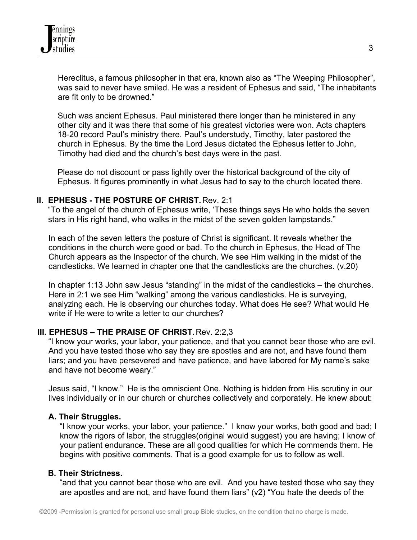Hereclitus, a famous philosopher in that era, known also as "The Weeping Philosopher", was said to never have smiled. He was a resident of Ephesus and said, "The inhabitants are fit only to be drowned."

 Such was ancient Ephesus. Paul ministered there longer than he ministered in any other city and it was there that some of his greatest victories were won. Acts chapters 18-20 record Paul's ministry there. Paul's understudy, Timothy, later pastored the church in Ephesus. By the time the Lord Jesus dictated the Ephesus letter to John, Timothy had died and the church's best days were in the past.

 Please do not discount or pass lightly over the historical background of the city of Ephesus. It figures prominently in what Jesus had to say to the church located there.

## **II. EPHESUS - THE POSTURE OF CHRIST.** Rev. 2:1

 "To the angel of the church of Ephesus write, 'These things says He who holds the seven stars in His right hand, who walks in the midst of the seven golden lampstands."

 In each of the seven letters the posture of Christ is significant. It reveals whether the conditions in the church were good or bad. To the church in Ephesus, the Head of The Church appears as the Inspector of the church. We see Him walking in the midst of the candlesticks. We learned in chapter one that the candlesticks are the churches. (v.20)

 In chapter 1:13 John saw Jesus "standing" in the midst of the candlesticks – the churches. Here in 2:1 we see Him "walking" among the various candlesticks. He is surveying, analyzing each. He is observing our churches today. What does He see? What would He write if He were to write a letter to our churches?

## **III. EPHESUS – THE PRAISE OF CHRIST.** Rev. 2:2,3

 "I know your works, your labor, your patience, and that you cannot bear those who are evil. And you have tested those who say they are apostles and are not, and have found them liars; and you have persevered and have patience, and have labored for My name's sake and have not become weary."

 Jesus said, "I know." He is the omniscient One. Nothing is hidden from His scrutiny in our lives individually or in our church or churches collectively and corporately. He knew about:

## **A. Their Struggles.**

 "I know your works, your labor, your patience." I know your works, both good and bad; I know the rigors of labor, the struggles(original would suggest) you are having; I know of your patient endurance. These are all good qualities for which He commends them. He begins with positive comments. That is a good example for us to follow as well.

## **B. Their Strictness.**

"and that you cannot bear those who are evil. And you have tested those who say they are apostles and are not, and have found them liars" (v2) "You hate the deeds of the

3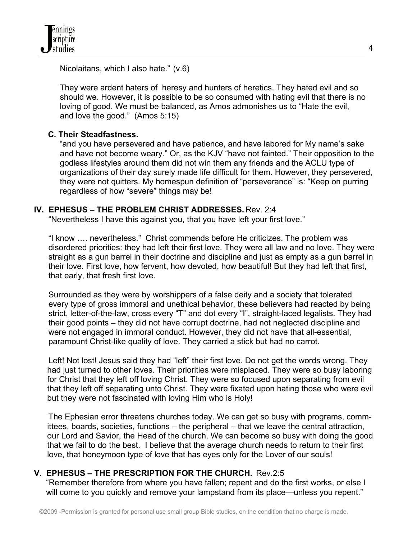Nicolaitans, which I also hate." (v.6)

 They were ardent haters of heresy and hunters of heretics. They hated evil and so should we. However, it is possible to be so consumed with hating evil that there is no loving of good. We must be balanced, as Amos admonishes us to "Hate the evil, and love the good." (Amos 5:15)

## **C. Their Steadfastness.**

 "and you have persevered and have patience, and have labored for My name's sake and have not become weary." Or, as the KJV "have not fainted." Their opposition to the godless lifestyles around them did not win them any friends and the ACLU type of organizations of their day surely made life difficult for them. However, they persevered, they were not quitters. My homespun definition of "perseverance" is: "Keep on purring regardless of how "severe" things may be!

## **IV. EPHESUS – THE PROBLEM CHRIST ADDRESSES.** Rev. 2:4

"Nevertheless I have this against you, that you have left your first love."

 "I know …. nevertheless." Christ commends before He criticizes. The problem was disordered priorities: they had left their first love. They were all law and no love. They were straight as a gun barrel in their doctrine and discipline and just as empty as a gun barrel in their love. First love, how fervent, how devoted, how beautiful! But they had left that first, that early, that fresh first love.

 Surrounded as they were by worshippers of a false deity and a society that tolerated every type of gross immoral and unethical behavior, these believers had reacted by being strict, letter-of-the-law, cross every "T" and dot every "I", straight-laced legalists. They had their good points – they did not have corrupt doctrine, had not neglected discipline and were not engaged in immoral conduct. However, they did not have that all-essential, paramount Christ-like quality of love. They carried a stick but had no carrot.

Left! Not lost! Jesus said they had "left" their first love. Do not get the words wrong. They had just turned to other loves. Their priorities were misplaced. They were so busy laboring for Christ that they left off loving Christ. They were so focused upon separating from evil that they left off separating unto Christ. They were fixated upon hating those who were evil but they were not fascinated with loving Him who is Holy!

 The Ephesian error threatens churches today. We can get so busy with programs, committees, boards, societies, functions – the peripheral – that we leave the central attraction, our Lord and Savior, the Head of the church. We can become so busy with doing the good that we fail to do the best. I believe that the average church needs to return to their first love, that honeymoon type of love that has eyes only for the Lover of our souls!

## **V. EPHESUS – THE PRESCRIPTION FOR THE CHURCH.** Rev.2:5

 "Remember therefore from where you have fallen; repent and do the first works, or else I will come to you quickly and remove your lampstand from its place—unless you repent."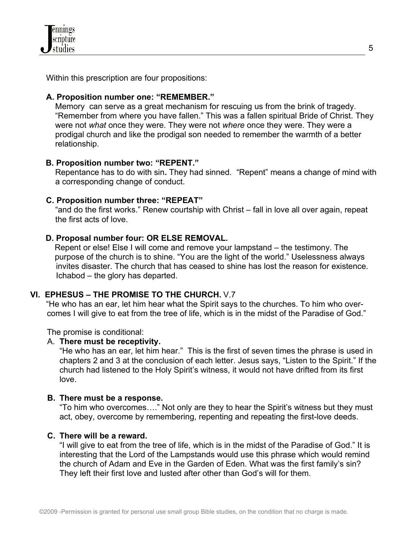Within this prescription are four propositions:

## **A. Proposition number one: "REMEMBER."**

Memory can serve as a great mechanism for rescuing us from the brink of tragedy. "Remember from where you have fallen." This was a fallen spiritual Bride of Christ. They were not *what* once they were. They were not *where* once they were. They were a prodigal church and like the prodigal son needed to remember the warmth of a better relationship.

## **B. Proposition number two: "REPENT."**

Repentance has to do with sin**.** They had sinned. "Repent" means a change of mind with a corresponding change of conduct.

## **C. Proposition number three: "REPEAT"**

 "and do the first works." Renew courtship with Christ – fall in love all over again, repeat the first acts of love.

## **D. Proposal number four: OR ELSE REMOVAL.**

Repent or else! Else I will come and remove your lampstand – the testimony. The purpose of the church is to shine. "You are the light of the world." Uselessness always invites disaster. The church that has ceased to shine has lost the reason for existence. Ichabod – the glory has departed.

# **VI. EPHESUS – THE PROMISE TO THE CHURCH.** V.7

 "He who has an ear, let him hear what the Spirit says to the churches. To him who over comes I will give to eat from the tree of life, which is in the midst of the Paradise of God."

The promise is conditional:

## A. **There must be receptivity.**

"He who has an ear, let him hear." This is the first of seven times the phrase is used in chapters 2 and 3 at the conclusion of each letter. Jesus says, "Listen to the Spirit." If the church had listened to the Holy Spirit's witness, it would not have drifted from its first love.

## **B. There must be a response.**

"To him who overcomes…." Not only are they to hear the Spirit's witness but they must act, obey, overcome by remembering, repenting and repeating the first-love deeds.

## **C. There will be a reward.**

"I will give to eat from the tree of life, which is in the midst of the Paradise of God." It is interesting that the Lord of the Lampstands would use this phrase which would remind the church of Adam and Eve in the Garden of Eden. What was the first family's sin? They left their first love and lusted after other than God's will for them.